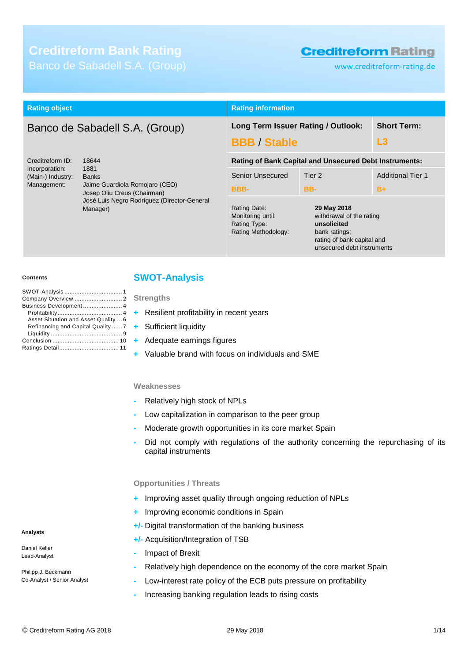# **Creditreform Bank Rating** Banco de Sabadell S.A. (Group)

# **Creditreform Rating**

rating of bank capital and unsecured debt instruments

www.creditreform-rating.de

| <b>Rating object</b>                                                                                                                                                                                                                |                                                                  | <b>Rating information</b>                                                          |                          |                          |
|-------------------------------------------------------------------------------------------------------------------------------------------------------------------------------------------------------------------------------------|------------------------------------------------------------------|------------------------------------------------------------------------------------|--------------------------|--------------------------|
|                                                                                                                                                                                                                                     | Banco de Sabadell S.A. (Group)                                   | Long Term Issuer Rating / Outlook:<br><b>BBB / Stable</b>                          |                          | <b>Short Term:</b><br>L3 |
| Creditreform ID:<br>18644<br>1881<br>Incorporation:<br>(Main-) Industry:<br><b>Banks</b><br>Management:<br>Jaime Guardiola Romojaro (CEO)<br>Josep Oliu Creus (Chairman)<br>José Luis Negro Rodríguez (Director-General<br>Manager) | <b>Senior Unsecured</b>                                          | <b>Rating of Bank Capital and Unsecured Debt Instruments:</b><br>Tier <sub>2</sub> | <b>Additional Tier 1</b> |                          |
|                                                                                                                                                                                                                                     | <b>BBB-</b><br>Rating Date:<br>Monitoring until:<br>Rating Type: | BB-<br>29 May 2018<br>withdrawal of the rating<br>unsolicited                      | $B+$                     |                          |

#### **Contents**

| Business Development 4               |
|--------------------------------------|
|                                      |
| Asset Situation and Asset Quality  6 |
| Refinancing and Capital Quality  7   |
|                                      |
|                                      |
|                                      |
|                                      |

### <span id="page-0-0"></span>**SWOT-Analysis**

**Strengths**

- **+** Resilient profitability in recent years
- **+** Sufficient liquidity
- **+** Adequate earnings figures
- **+** Valuable brand with focus on individuals and SME

#### **Weaknesses**

- **-** Relatively high stock of NPLs
- **-** Low capitalization in comparison to the peer group
- **-** Moderate growth opportunities in its core market Spain
- **-** Did not comply with regulations of the authority concerning the repurchasing of its capital instruments

Rating Methodology: bank ratings;

#### **Opportunities / Threats**

- **+** Improving asset quality through ongoing reduction of NPLs
- **+** Improving economic conditions in Spain
- **+/-** Digital transformation of the banking business
- **+/-** Acquisition/Integration of TSB
- **-** Impact of Brexit
- **-** Relatively high dependence on the economy of the core market Spain
- **-** Low-interest rate policy of the ECB puts pressure on profitability
- **-** Increasing banking regulation leads to rising costs

#### **Analysts**

Daniel Keller Lead-Analyst

Philipp J. Beckmann Co-Analyst / Senior Analyst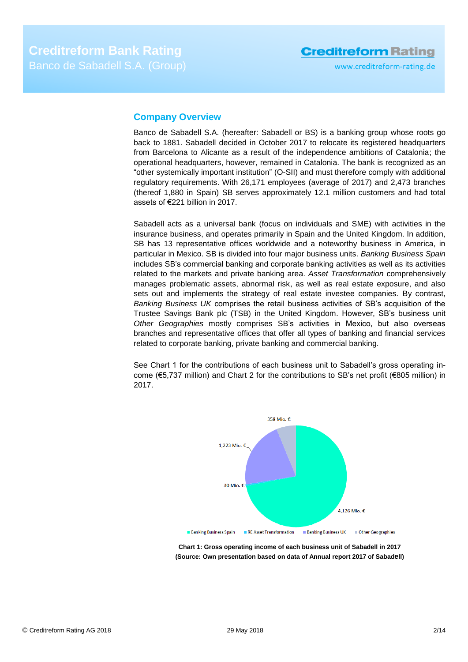## <span id="page-1-0"></span>**Company Overview**

Banco de Sabadell S.A. (hereafter: Sabadell or BS) is a banking group whose roots go back to 1881. Sabadell decided in October 2017 to relocate its registered headquarters from Barcelona to Alicante as a result of the independence ambitions of Catalonia; the operational headquarters, however, remained in Catalonia. The bank is recognized as an "other systemically important institution" (O-SII) and must therefore comply with additional regulatory requirements. With 26,171 employees (average of 2017) and 2,473 branches (thereof 1,880 in Spain) SB serves approximately 12.1 million customers and had total assets of €221 billion in 2017.

Sabadell acts as a universal bank (focus on individuals and SME) with activities in the insurance business, and operates primarily in Spain and the United Kingdom. In addition, SB has 13 representative offices worldwide and a noteworthy business in America, in particular in Mexico. SB is divided into four major business units. *Banking Business Spain* includes SB's commercial banking and corporate banking activities as well as its activities related to the markets and private banking area. *Asset Transformation* comprehensively manages problematic assets, abnormal risk, as well as real estate exposure, and also sets out and implements the strategy of real estate investee companies. By contrast, *Banking Business UK* comprises the retail business activities of SB's acquisition of the Trustee Savings Bank plc (TSB) in the United Kingdom. However, SB's business unit *Other Geographies* mostly comprises SB's activities in Mexico, but also overseas branches and representative offices that offer all types of banking and financial services related to corporate banking, private banking and commercial banking.

See Chart 1 for the contributions of each business unit to Sabadell's gross operating income (€5,737 million) and Chart 2 for the contributions to SB's net profit (€805 million) in 2017.



**Chart 1: Gross operating income of each business unit of Sabadell in 2017 (Source: Own presentation based on data of Annual report 2017 of Sabadell)**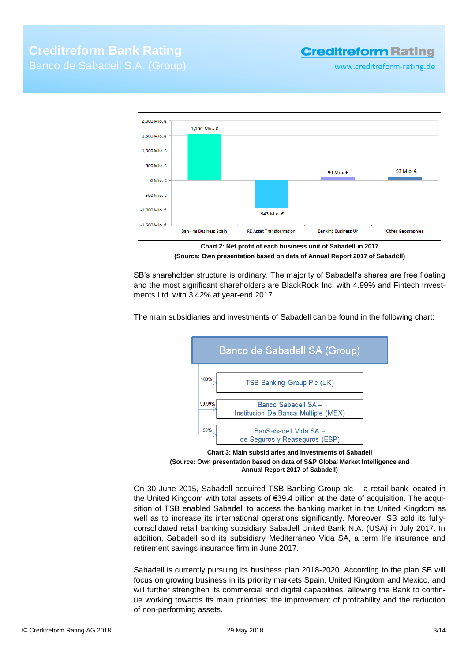## **Creditreform Rating**

www.creditreform-rating.de



**Chart 2: Net profit of each business unit of Sabadell in 2017 (Source: Own presentation based on data of Annual Report 2017 of Sabadell)**

SB's shareholder structure is ordinary. The majority of Sabadell's shares are free floating and the most significant shareholders are BlackRock Inc. with 4.99% and Fintech Investments Ltd. with 3.42% at year-end 2017.

The main subsidiaries and investments of Sabadell can be found in the following chart:



**Chart 3: Main subsidiaries and investments of Sabadell (Source: Own presentation based on data of S&P Global Market Intelligence and Annual Report 2017 of Sabadell)**

On 30 June 2015, Sabadell acquired TSB Banking Group plc – a retail bank located in the United Kingdom with total assets of €39.4 billion at the date of acquisition. The acquisition of TSB enabled Sabadell to access the banking market in the United Kingdom as well as to increase its international operations significantly. Moreover, SB sold its fullyconsolidated retail banking subsidiary Sabadell United Bank N.A. (USA) in July 2017. In addition, Sabadell sold its subsidiary Mediterráneo Vida SA, a term life insurance and retirement savings insurance firm in June 2017.

Sabadell is currently pursuing its business plan 2018-2020. According to the plan SB will focus on growing business in its priority markets Spain, United Kingdom and Mexico, and will further strengthen its commercial and digital capabilities, allowing the Bank to continue working towards its main priorities: the improvement of profitability and the reduction of non-performing assets.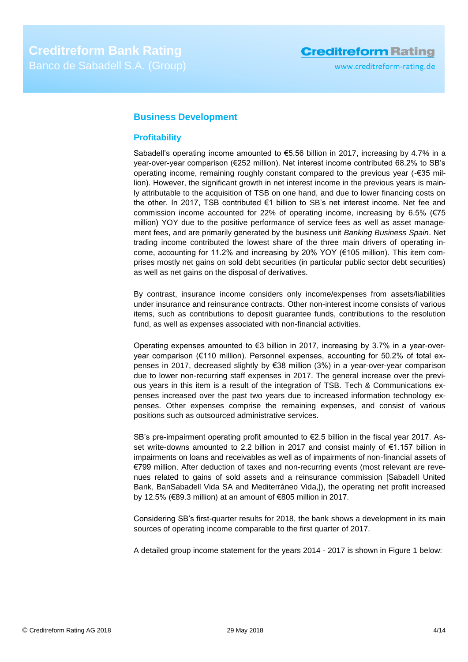## <span id="page-3-0"></span>**Business Development**

### <span id="page-3-1"></span>**Profitability**

Sabadell's operating income amounted to €5.56 billion in 2017, increasing by 4.7% in a year-over-year comparison (€252 million). Net interest income contributed 68.2% to SB's operating income, remaining roughly constant compared to the previous year (-€35 million). However, the significant growth in net interest income in the previous years is mainly attributable to the acquisition of TSB on one hand, and due to lower financing costs on the other. In 2017, TSB contributed €1 billion to SB's net interest income. Net fee and commission income accounted for 22% of operating income, increasing by 6.5% (€75 million) YOY due to the positive performance of service fees as well as asset management fees, and are primarily generated by the business unit *Banking Business Spain*. Net trading income contributed the lowest share of the three main drivers of operating income, accounting for 11.2% and increasing by 20% YOY (€105 million). This item comprises mostly net gains on sold debt securities (in particular public sector debt securities) as well as net gains on the disposal of derivatives.

By contrast, insurance income considers only income/expenses from assets/liabilities under insurance and reinsurance contracts. Other non-interest income consists of various items, such as contributions to deposit guarantee funds, contributions to the resolution fund, as well as expenses associated with non-financial activities.

Operating expenses amounted to  $63$  billion in 2017, increasing by 3.7% in a year-overyear comparison (€110 million). Personnel expenses, accounting for 50.2% of total expenses in 2017, decreased slightly by €38 million (3%) in a year-over-year comparison due to lower non-recurring staff expenses in 2017. The general increase over the previous years in this item is a result of the integration of TSB. Tech & Communications expenses increased over the past two years due to increased information technology expenses. Other expenses comprise the remaining expenses, and consist of various positions such as outsourced administrative services.

SB's pre-impairment operating profit amounted to €2.5 billion in the fiscal year 2017. Asset write-downs amounted to 2.2 billion in 2017 and consist mainly of €1.157 billion in impairments on loans and receivables as well as of impairments of non-financial assets of €799 million. After deduction of taxes and non-recurring events (most relevant are revenues related to gains of sold assets and a reinsurance commission [Sabadell United Bank, BanSabadell Vida SA and Mediterráneo Vida,]), the operating net profit increased by 12.5% (€89.3 million) at an amount of €805 million in 2017.

Considering SB's first-quarter results for 2018, the bank shows a development in its main sources of operating income comparable to the first quarter of 2017.

A detailed group income statement for the years 2014 - 2017 is shown in Figure 1 below: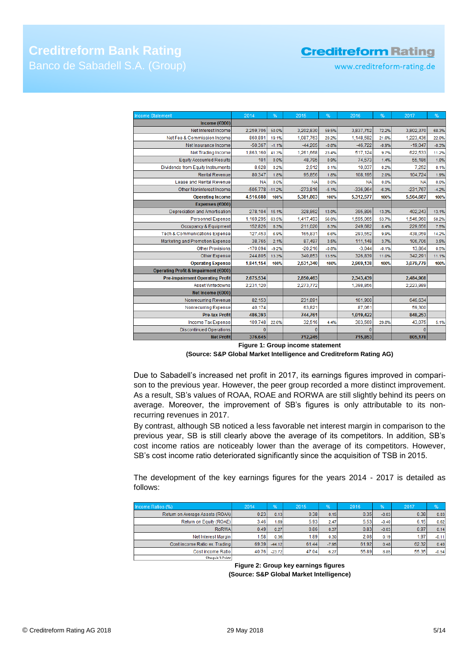## **Creditreform Rating**

www.creditreform-rating.de

**Creditreform Bank Rating** Banco de Sabadell S.A. (Group)

| <b>Income Statement</b>                  | 2014       | %        | 2015       | %       | 2016       | %       | 2017       | %       |
|------------------------------------------|------------|----------|------------|---------|------------|---------|------------|---------|
| Income ( $€000$ )                        |            |          |            |         |            |         |            |         |
| Net Interest Income                      | 2,259,706  | 50.0%    | 3,202,830  | 59.5%   | 3,837,752  | 72.2%   | 3,802,370  | 68.3%   |
| Net Fee & Commission Income              | 860,891    | 19.1%    | 1,087,763  | 20.2%   | 1,148,582  | 21.6%   | 1,223,436  | 22.0%   |
| Net Insurance Income                     | $-50,367$  | $-1.1%$  | $-44,205$  | $-0.8%$ | $-46,722$  | $-0.9%$ | $-19,047$  | $-0.3%$ |
| <b>Net Trading Income</b>                | 1,863,160  | 41.3%    | 1,261,668  | 23.4%   | 517,124    | 9.7%    | 622.533    | 11.2%   |
| <b>Equity Accounted Results</b>          | 101        | 0.0%     | 48,795     | 0.9%    | 74,573     | 1.4%    | 55,186     | 1.0%    |
| Dividends from Equity Instruments        | 8,628      | 0.2%     | 2,912      | 0.1%    | 10,037     | 0.2%    | 7.252      | 0.1%    |
| <b>Rental Revenue</b>                    | 80,347     | 1.8%     | 95,856     | 1.8%    | 108,195    | 2.0%    | 104,724    | 1.9%    |
| Lease and Rental Revenue                 | <b>NA</b>  | 0.0%     | <b>NA</b>  | 0.0%    | <b>NA</b>  | 0.0%    | <b>NA</b>  | 0.0%    |
| Other Noninterest Income                 | $-505,778$ | $-11.2%$ | $-273,816$ | $-5.1%$ | $-336,964$ | $-6.3%$ | $-231,767$ | $-4.2%$ |
| <b>Operating Income</b>                  | 4,516,688  | 100%     | 5,381,803  | 100%    | 5,312,577  | 100%    | 5,564,687  | 100%    |
| Expenses (€000)                          |            |          |            |         |            |         |            |         |
| Depreciation and Amortisation            | 278,104    | 15.1%    | 328,862    | 13.0%   | 395,896    | 13.3%   | 402.243    | 13.1%   |
| <b>Personnel Expense</b>                 | 1,169,295  | 63.5%    | 1,417,493  | 56.0%   | 1,595,065  | 53.7%   | 1,546,960  | 50.2%   |
| Occupancy & Equipment                    | 152,826    | 8.3%     | 211,020    | 8.3%    | 249,682    | 8.4%    | 229,656    | 7.5%    |
| <b>Tech &amp; Communications Expense</b> | 127,453    | 6.9%     | 165,831    | 6.6%    | 293,552    | 9.9%    | 438,059    | 14.2%   |
| Marketing and Promotion Expense          | 38,765     | 2.1%     | 87,497     | 3.5%    | 111,148    | 3.7%    | 106,706    | 3.5%    |
| <b>Other Provisions</b>                  | $-170,094$ | $-9.2%$  | $-20,216$  | $-0.8%$ | $-3.044$   | $-0.1%$ | 13,864     | 0.5%    |
| <b>Other Expense</b>                     | 244,805    | 13.3%    | 340,853    | 13.5%   | 326,839    | 11.0%   | 342.291    | 11.1%   |
| <b>Operating Expense</b>                 | 1,841,154  | 100%     | 2,531,340  | 100%    | 2,969,138  | 100%    | 3,079,779  | 100%    |
| Operating Profit & Impairment (€000)     |            |          |            |         |            |         |            |         |
| <b>Pre-impairment Operating Profit</b>   | 2,675,534  |          | 2,850,463  |         | 2,343,439  |         | 2,484,908  |         |
| Asset Writedowns                         | 2,231,120  |          | 2,273,772  |         | 1,398,856  |         | 2,223,989  |         |
| Net Income (€000)                        |            |          |            |         |            |         |            |         |
| Nonrecurring Revenue                     | 82,153     |          | 231,891    |         | 161,900    |         | 646,634    |         |
| Nonrecurring Expense                     | 40,174     |          | 63,821     |         | 87.061     |         | 59,300     |         |
| <b>Pre-tax Profit</b>                    | 486,393    |          | 744,761    |         | 1,019,422  |         | 848,253    |         |
| Income Tax Expense                       | 109,748    | 22.6%    | 32,516     | 4.4%    | 303,569    | 29.8%   | 43,075     | 5.1%    |
| <b>Discontinued Operations</b>           | n          |          | $\Omega$   |         | $\Omega$   |         | $\theta$   |         |
| <b>Net Profit</b>                        | 376,645    |          | 712,245    |         | 715,853    |         | 805,178    |         |

**Figure 1: Group income statement**

#### **(Source: S&P Global Market Intelligence and Creditreform Rating AG)**

Due to Sabadell's increased net profit in 2017, its earnings figures improved in comparison to the previous year. However, the peer group recorded a more distinct improvement. As a result, SB's values of ROAA, ROAE and RORWA are still slightly behind its peers on average. Moreover, the improvement of SB's figures is only attributable to its nonrecurring revenues in 2017.

By contrast, although SB noticed a less favorable net interest margin in comparison to the previous year, SB is still clearly above the average of its competitors. In addition, SB's cost income ratios are noticeably lower than the average of its competitors. However, SB's cost income ratio deteriorated significantly since the acquisition of TSB in 2015.

The development of the key earnings figures for the years 2014 - 2017 is detailed as follows:

| Income Ratios (%)               | 2014  | 1961     | 2015  | %       | 2016  | %       | 2017  | %       |
|---------------------------------|-------|----------|-------|---------|-------|---------|-------|---------|
| Return on Average Assets (ROAA) | 0.23  | 0.13     | 0.38  | 0.15    | 0.35  | $-0.03$ | 0.38  | 0.03    |
| Return on Equity (ROAE)         | 3.46  | 1.69     | 5.93  | 2.47    | 5.53  | $-0.40$ | 6.15  | 0.62    |
| RoRWA                           | 0.49  | 0.27     | 0.86  | 0.37    | 0.83  | $-0.03$ | 0.97  | 0.14    |
| Net Interest Margin             | 1.58  | 0.36     | 1.89  | 0.30    | 2.08  | 0.19    | 1.97  | $-0.11$ |
| Cost income Ratio ex. Trading   | 69.39 | $-44.12$ | 61.44 | $-7.95$ | 61.92 | 0.48    | 62.32 | 0.40    |
| Cost income Ratio               | 40.76 | $-23.72$ | 47.04 | 6.27    | 55.89 | 8.85    | 55.35 | $-0.54$ |
| Change in & Points              |       |          |       |         |       |         |       |         |

**Figure 2: Group key earnings figures (Source: S&P Global Market Intelligence)**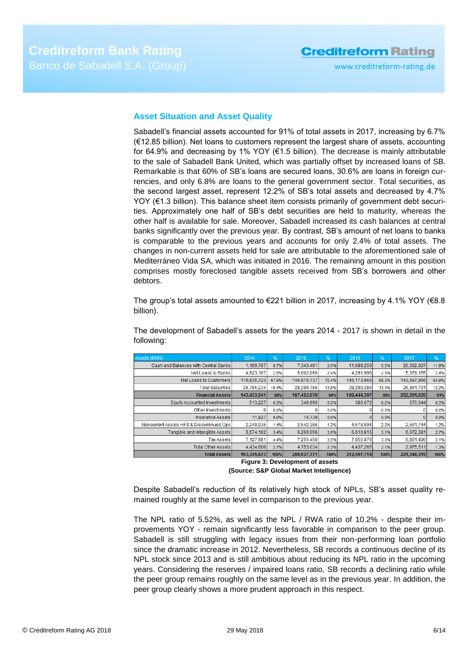# **Creditreform Rating**

#### <span id="page-5-0"></span>**Asset Situation and Asset Quality**

Sabadell's financial assets accounted for 91% of total assets in 2017, increasing by 6.7% (€12.85 billion). Net loans to customers represent the largest share of assets, accounting for 64.9% and decreasing by 1% YOY ( $\epsilon$ 1.5 billion). The decrease is mainly attributable to the sale of Sabadell Bank United, which was partially offset by increased loans of SB. Remarkable is that 60% of SB's loans are secured loans, 30.6% are loans in foreign currencies, and only 6.8% are loans to the general government sector. Total securities, as the second largest asset, represent 12.2% of SB's total assets and decreased by 4.7% YOY (€1.3 billion). This balance sheet item consists primarily of government debt securities. Approximately one half of SB's debt securities are held to maturity, whereas the other half is available for sale. Moreover, Sabadell increased its cash balances at central banks significantly over the previous year. By contrast, SB's amount of net loans to banks is comparable to the previous years and accounts for only 2.4% of total assets. The changes in non-current assets held for sale are attributable to the aforementioned sale of Mediterráneo Vida SA, which was initiated in 2016. The remaining amount in this position comprises mostly foreclosed tangible assets received from SB's borrowers and other debtors.

The group's total assets amounted to  $\epsilon$ 221 billion in 2017, increasing by 4.1% YOY ( $\epsilon$ 8.8) billion).

The development of Sabadell's assets for the years 2014 - 2017 is shown in detail in the following:

| Assets (€000)                            | 2014        | %     | 2015        | %     | 2016          | %     | 2017        | %     |
|------------------------------------------|-------------|-------|-------------|-------|---------------|-------|-------------|-------|
| Cash and Balances with Central Banks     | 1,189,787   | 0.7%  | 7,343,481   | 3.5%  | 11,688,250    | 5.5%  | 26,362,807  | 11.9% |
| Net Loans to Banks I                     | 4,623,197   | 2.8%  | 5,002,066   | 2.4%  | 4.291.996     | 2.0%  | 5,379,155   | 2.4%  |
| Net Loans to Customers                   | 110,835,723 | 67.9% | 146,815,737 | 70.4% | 145, 173, 865 | 68.3% | 143,597,966 | 64.9% |
| <b>Total Securities</b>                  | 26,785,234  | 16.4% | 28,290,786  | 13.6% | 28,290,286    | 13.3% | 26,961,701  | 12.2% |
| <b>Financial Assets</b>                  | 143,433,941 | 88%   | 187,452,070 | 90%   | 189,444,397   | 89%   | 202,301,629 | 91%   |
| Equity Accounted Investments             | 513,227     | 0.3%  | 340,996     | 0.2%  | 380,672       | 0.2%  | 575,644     | 0.3%  |
| Other Investments                        |             | 0.0%  |             | 0.0%  |               | 0.0%  |             | 0.0%  |
| Insurance Assets                         | 11,827      | 0.0%  | 14.739      | 0.0%  |               | 0.0%  |             | 0.0%  |
| Noncurrent Assets HFS & Discontinued Ops | 2.249.935   | 1.4%  | 2,542,386   | 1.2%  | 4,578,694     | 2.2%  | 2.561.744   | 1.2%  |
| Tangible and Intangible Assets           | 5,574,162   | 3.4%  | 6.269.096   | 3.0%  | 6.610.815     | 3.1%  | 6.072.381   | 2.7%  |
| <b>Tax Assets</b>                        | 7.127.981   | 4.4%  | 7.255.450   | 3.5%  | 7.055.876     | 3.3%  | 6.861.406   | 3.1%  |
| <b>Total Other Assets</b>                | 4,434,600   | 2.7%  | 4.753.034   | 2.3%  | 4,437,265     | 2.1%  | 2.975.511   | 1.3%  |
| <b>Total Assets</b>                      | 163,345,673 | 100%  | 208,627,771 | 100%  | 212,507,719   | 100%  | 221.348.315 | 100%  |

**Figure 3: Development of assets (Source: S&P Global Market Intelligence)**

Despite Sabadell's reduction of its relatively high stock of NPLs, SB's asset quality remained roughly at the same level in comparison to the previous year.

The NPL ratio of 5.52%, as well as the NPL / RWA ratio of 10.2% - despite their improvements YOY - remain significantly less favorable in comparison to the peer group. Sabadell is still struggling with legacy issues from their non-performing loan portfolio since the dramatic increase in 2012. Nevertheless, SB records a continuous decline of its NPL stock since 2013 and is still ambitious about reducing its NPL ratio in the upcoming years. Considering the reserves / impaired loans ratio, SB records a declining ratio while the peer group remains roughly on the same level as in the previous year. In addition, the peer group clearly shows a more prudent approach in this respect.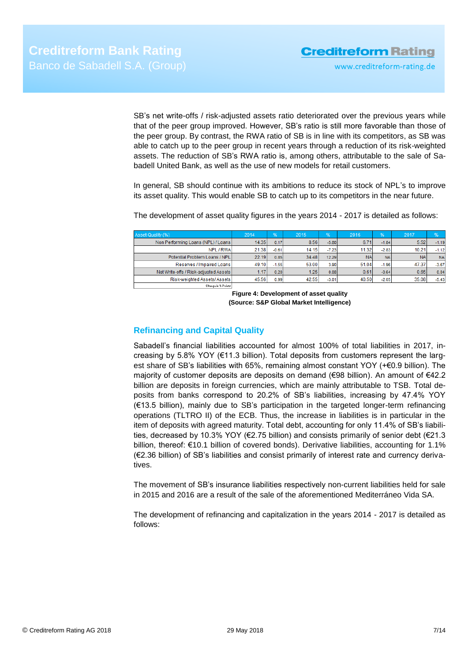www.creditreform-rating.de

SB's net write-offs / risk-adjusted assets ratio deteriorated over the previous years while that of the peer group improved. However, SB's ratio is still more favorable than those of the peer group. By contrast, the RWA ratio of SB is in line with its competitors, as SB was able to catch up to the peer group in recent years through a reduction of its risk-weighted assets. The reduction of SB's RWA ratio is, among others, attributable to the sale of Sabadell United Bank, as well as the use of new models for retail customers.

In general, SB should continue with its ambitions to reduce its stock of NPL's to improve its asset quality. This would enable SB to catch up to its competitors in the near future.

The development of asset quality figures in the years 2014 - 2017 is detailed as follows:

| Asset-Quality (%)                     | 2014  | 96'     | 2015  | %       | 2016      | %         | 2017      | $\frac{9}{6}$ |
|---------------------------------------|-------|---------|-------|---------|-----------|-----------|-----------|---------------|
| Non Performing Loans (NPL) / Loans    | 14.35 | 0.17    | 8.56  | $-5.80$ | 6.71      | $-1.84$   | 5.52      | $-1.19$       |
| NPL / RWA                             | 21.38 | $-0.61$ | 14.15 | $-7.23$ | 11.32     | $-2.83$   | 10.21     | $-1.12$       |
| Potential Problem Loans / NPL         | 22.19 | 0.85    | 34.48 | 12.29   | <b>NA</b> | <b>NA</b> | <b>NA</b> | <b>NA</b>     |
| Reserves / Impaired Loans             | 49.10 | $-1.55$ | 53.00 | 3.90    | 51.04     | $-1.96$   | 47.37     | $-3.67$       |
| Net Write-offs / Risk-adjusted Assets | 1.17  | 0.20    | 1.25  | 0.08    | 0.61      | $-0.64$   | 0.65      | 0.04          |
| Risk-weighted Assets/ Assets          | 45.56 | 0.99    | 42.55 | $-3.01$ | 40.50     | $-2.05$   | 35.08     | $-5.43$       |
| Change in & Points                    |       |         |       |         |           |           |           |               |

**Figure 4: Development of asset quality (Source: S&P Global Market Intelligence)**

### <span id="page-6-0"></span>**Refinancing and Capital Quality**

Sabadell's financial liabilities accounted for almost 100% of total liabilities in 2017, increasing by 5.8% YOY (€11.3 billion). Total deposits from customers represent the largest share of SB's liabilities with 65%, remaining almost constant YOY (+€0.9 billion). The majority of customer deposits are deposits on demand (€98 billion). An amount of €42.2 billion are deposits in foreign currencies, which are mainly attributable to TSB. Total deposits from banks correspond to 20.2% of SB's liabilities, increasing by 47.4% YOY (€13.5 billion), mainly due to SB's participation in the targeted longer-term refinancing operations (TLTRO II) of the ECB. Thus, the increase in liabilities is in particular in the item of deposits with agreed maturity. Total debt, accounting for only 11.4% of SB's liabilities, decreased by 10.3% YOY (€2.75 billion) and consists primarily of senior debt (€21.3 billion, thereof: €10.1 billion of covered bonds). Derivative liabilities, accounting for 1.1% (€2.36 billion) of SB's liabilities and consist primarily of interest rate and currency derivatives.

The movement of SB's insurance liabilities respectively non-current liabilities held for sale in 2015 and 2016 are a result of the sale of the aforementioned Mediterráneo Vida SA.

The development of refinancing and capitalization in the years 2014 - 2017 is detailed as follows: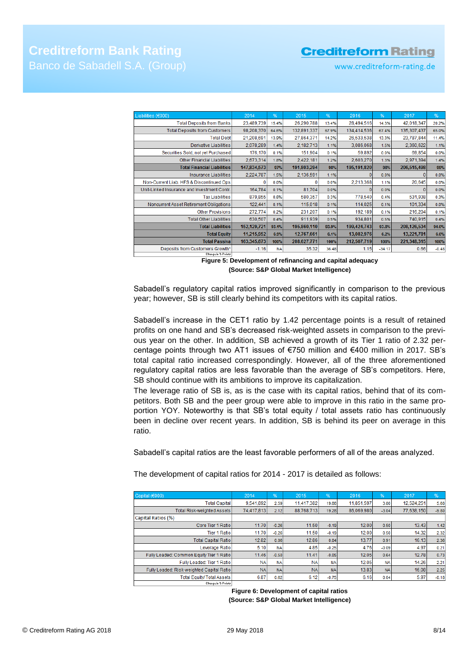# **Creditreform Bank Rating** Banco de Sabadell S.A. (Group)

## **Creditreform Rating**

www.creditreform-rating.de

| Liabilities (€000)                          | 2014        | %         | 2015        | %     | 2016        | %        | 2017        | %       |
|---------------------------------------------|-------------|-----------|-------------|-------|-------------|----------|-------------|---------|
| <b>Total Deposits from Banks</b>            | 23,489,739  | 15.4%     | 26,290,788  | 13.4% | 28,494,516  | 14.3%    | 42,018,347  | 20.2%   |
| <b>Total Deposits from Customers</b>        | 98,208,370  | 64.6%     | 132,891,337 | 67.9% | 134,414,536 | 67.4%    | 135,307,437 | 65.0%   |
| <b>Total Debt</b>                           | 21,208,691  | 13.9%     | 27,864,371  | 14.2% | 26,533,538  | 13.3%    | 23,787,844  | 11.4%   |
| Derivative Liabilities                      | 2,078,289   | 1.4%      | 2,182,713   | 1.1%  | 3,086,068   | 1.5%     | 2,360,622   | 1.1%    |
| Securities Sold, not yet Purchased          | 176,170     | 0.1%      | 151,904     | 0.1%  | 59,892      | 0.0%     | 69,854      | 0.0%    |
| <b>Other Financial Liabilities</b>          | 2,673,314   | 1.8%      | 2,422,181   | 1.2%  | 2,603,270   | 1.3%     | 2,971,394   | 1.4%    |
| <b>Total Financial Liabilities</b>          | 147,834,573 | 97%       | 191,803,294 | 98%   | 195,191,820 | 98%      | 206,515,498 | 99%     |
| Insurance Liabilities                       | 2,224,787   | 1.5%      | 2,136,591   | 1.1%  | $\Omega$    | 0.0%     | 0           | 0.0%    |
| Non-Current Liab. HFS & Discontinued Ops    |             | 0.0%      |             | 0.0%  | 2,213,368   | 1.1%     | 20,645      | 0.0%    |
| Unit-Linked Insurance and Investment Contr. | 164,784     | 0.1%      | 81,704      | 0.0%  | o           | 0.0%     | o           | 0.0%    |
| <b>Tax Liabilities</b>                      | 879,855     | 0.6%      | 580,357     | 0.3%  | 778,540     | 0.4%     | 531,938     | 0.3%    |
| Noncurrent Asset Retirement Obligations     | 122,441     | 0.1%      | 115,018     | 0.1%  | 114,025     | 0.1%     | 101,334     | 0.0%    |
| <b>Other Provisions</b>                     | 272,774     | 0.2%      | 231,207     | 0.1%  | 192,189     | 0.1%     | 216,204     | 0.1%    |
| <b>Total Other Liabilities</b>              | 630,507     | 0.4%      | 911,939     | 0.5%  | 934,801     | 0.5%     | 740,915     | 0.4%    |
| <b>Total Liabilities</b>                    | 152,129,721 | 93.1%     | 195,860,110 | 93.9% | 199,424,743 | 93.8%    | 208,126,534 | 94.0%   |
| <b>Total Equity</b>                         | 11,215,952  | 6.9%      | 12,767,661  | 6.1%  | 13,082,976  | 6.2%     | 13,221,781  | 6.0%    |
| <b>Total Passiva</b>                        | 163,345,673 | 100%      | 208,627,771 | 100%  | 212,507,719 | 100%     | 221,348,315 | 100%    |
| Deposits from Customers Growth*             | $-1.16$     | <b>NA</b> | 35.32       | 36.48 | 1.15        | $-34.17$ | 0.66        | $-0.48$ |
| Change in Z-Points                          |             |           |             |       |             |          |             |         |

**Figure 5: Development of refinancing and capital adequacy (Source: S&P Global Market Intelligence)**

Sabadell's regulatory capital ratios improved significantly in comparison to the previous year; however, SB is still clearly behind its competitors with its capital ratios.

Sabadell's increase in the CET1 ratio by 1.42 percentage points is a result of retained profits on one hand and SB's decreased risk-weighted assets in comparison to the previous year on the other. In addition, SB achieved a growth of its Tier 1 ratio of 2.32 percentage points through two AT1 issues of €750 million and €400 million in 2017. SB's total capital ratio increased correspondingly. However, all of the three aforementioned regulatory capital ratios are less favorable than the average of SB's competitors. Here, SB should continue with its ambitions to improve its capitalization.

The leverage ratio of SB is, as is the case with its capital ratios, behind that of its competitors. Both SB and the peer group were able to improve in this ratio in the same proportion YOY. Noteworthy is that SB's total equity / total assets ratio has continuously been in decline over recent years. In addition, SB is behind its peer on average in this ratio.

Sabadell's capital ratios are the least favorable performers of all of the areas analyzed.

The development of capital ratios for 2014 - 2017 is detailed as follows:

| Capital (€000)                            | 2014       | $\sqrt{96}$ | 2015       | %          | 2016       | $\frac{1}{26}$ | 2017       | %       |
|-------------------------------------------|------------|-------------|------------|------------|------------|----------------|------------|---------|
| <b>Total Capital</b>                      | 9,541,892  | 2.59        | 11.417.382 | 19.66      | 11,851,597 | 3.80           | 12.524.251 | 5.68    |
| Total Risk-weighted Assets                | 74,417,813 | 2.12        | 88,768,713 | 19.28      | 86,069,980 | $-3.04$        | 77,638,150 | $-9.80$ |
| Capital Ratios (%)                        |            |             |            |            |            |                |            |         |
| Core Tier 1 Ratio                         | 11.70      | $-0.26$     | 11.50      | $-0.19$    | 12.00      | 0.50           | 13.43      | 1.42    |
| <b>Tier 1 Ratiol</b>                      | 11.70      | $-0.26$     | 11.50      | $-0.19$    | 12.00      | 0.50           | 14.32      | 2.32    |
| <b>Total Capital Ratio</b>                | 12.82      | 0.06        | 12.86      | 0.04       | 13.77      | 0.91           | 16.13      | 2.36    |
| Leverage Ratio                            | 5.10       | <b>NA</b>   | 4.85       | $-0.25$    | 4.76       | $-0.09$        | 4.97       | 0.21    |
| Fully Loaded: Common Equity Tier 1 Ratio  | 11.46      | $-0.50$     | 11.41      | $-0.05$    | 12.05      | 0.64           | 12.78      | 0.73    |
| Fully Loaded: Tier 1 Ratio                | <b>NA</b>  | NA          | <b>NA</b>  | <b>NA</b>  | 12.05      | <b>NA</b>      | 14.26      | 2.21    |
| Fully Loaded: Risk-weighted Capital Ratio | <b>NA</b>  | <b>NAI</b>  | <b>NA</b>  | <b>NAI</b> | 13.83      | <b>NA</b>      | 16.08      | 2.25    |
| Total Equity/ Total Assets                | 6.87       | 0.62        | 6.12       | $-0.75$    | 6.16       | 0.04           | 5.97       | $-0.18$ |
| contract the state of the state of the    |            |             |            |            |            |                |            |         |

**Figure 6: Development of capital ratios (Source: S&P Global Market Intelligence)**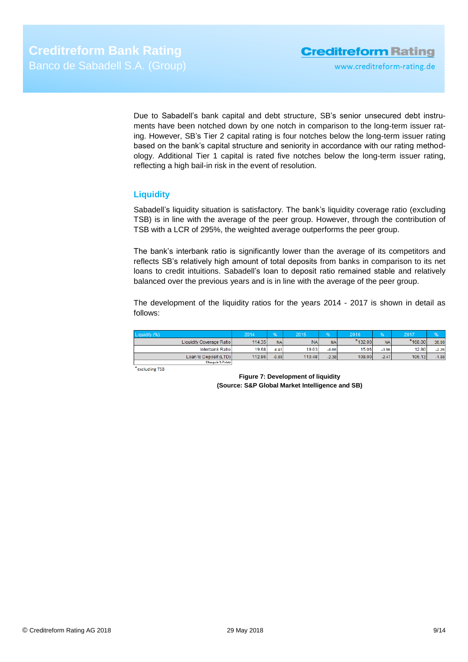www.creditreform-rating.de

Due to Sabadell's bank capital and debt structure, SB's senior unsecured debt instruments have been notched down by one notch in comparison to the long-term issuer rating. However, SB's Tier 2 capital rating is four notches below the long-term issuer rating based on the bank's capital structure and seniority in accordance with our rating methodology. Additional Tier 1 capital is rated five notches below the long-term issuer rating, reflecting a high bail-in risk in the event of resolution.

#### <span id="page-8-0"></span>**Liquidity**

Sabadell's liquidity situation is satisfactory. The bank's liquidity coverage ratio (excluding TSB) is in line with the average of the peer group. However, through the contribution of TSB with a LCR of 295%, the weighted average outperforms the peer group.

The bank's interbank ratio is significantly lower than the average of its competitors and reflects SB's relatively high amount of total deposits from banks in comparison to its net loans to credit intuitions. Sabadell's loan to deposit ratio remained stable and relatively balanced over the previous years and is in line with the average of the peer group.

The development of the liquidity ratios for the years 2014 - 2017 is shown in detail as follows:

| Liquidity (%)             | 2014   |           | 2015      | OZ.       | 2016       | <b>LO<sub>K</sub></b> | 2017      |         |
|---------------------------|--------|-----------|-----------|-----------|------------|-----------------------|-----------|---------|
| Liquidity Coverage Ratiol | 114.35 | <b>NA</b> | <b>NA</b> | <b>NA</b> | $*$ 132.00 | <b>NA</b>             | $*168.00$ | 36.00   |
| Interbank Ratio           | 19.68  | 4.41      | 19.03     | $-0.66$   | 15.06      | $-3.96$               | 12.80     | $-2.26$ |
| Loan to Deposit (LTD)     | 112.86 | $-0.80$   | 110.48    | $-2.38$   | 108,00     | $-2.47$               | 106.13    | $-1.88$ |
| Change to Michael         |        |           |           |           |            |                       |           |         |

<span id="page-8-1"></span>\*excluding TSB

**Figure 7: Development of liquidity (Source: S&P Global Market Intelligence and SB)**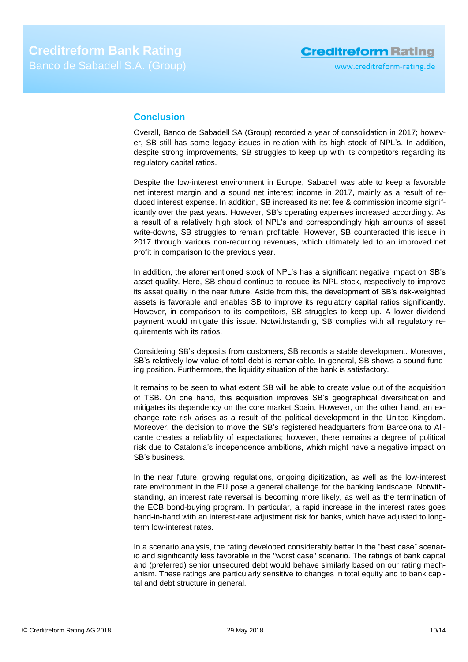## **Conclusion**

Overall, Banco de Sabadell SA (Group) recorded a year of consolidation in 2017; however, SB still has some legacy issues in relation with its high stock of NPL's. In addition, despite strong improvements, SB struggles to keep up with its competitors regarding its regulatory capital ratios.

Despite the low-interest environment in Europe, Sabadell was able to keep a favorable net interest margin and a sound net interest income in 2017, mainly as a result of reduced interest expense. In addition, SB increased its net fee & commission income significantly over the past years. However, SB's operating expenses increased accordingly. As a result of a relatively high stock of NPL's and correspondingly high amounts of asset write-downs, SB struggles to remain profitable. However, SB counteracted this issue in 2017 through various non-recurring revenues, which ultimately led to an improved net profit in comparison to the previous year.

In addition, the aforementioned stock of NPL's has a significant negative impact on SB's asset quality. Here, SB should continue to reduce its NPL stock, respectively to improve its asset quality in the near future. Aside from this, the development of SB's risk-weighted assets is favorable and enables SB to improve its regulatory capital ratios significantly. However, in comparison to its competitors, SB struggles to keep up. A lower dividend payment would mitigate this issue. Notwithstanding, SB complies with all regulatory requirements with its ratios.

Considering SB's deposits from customers, SB records a stable development. Moreover, SB's relatively low value of total debt is remarkable. In general, SB shows a sound funding position. Furthermore, the liquidity situation of the bank is satisfactory.

It remains to be seen to what extent SB will be able to create value out of the acquisition of TSB. On one hand, this acquisition improves SB's geographical diversification and mitigates its dependency on the core market Spain. However, on the other hand, an exchange rate risk arises as a result of the political development in the United Kingdom. Moreover, the decision to move the SB's registered headquarters from Barcelona to Alicante creates a reliability of expectations; however, there remains a degree of political risk due to Catalonia's independence ambitions, which might have a negative impact on SB's business.

In the near future, growing regulations, ongoing digitization, as well as the low-interest rate environment in the EU pose a general challenge for the banking landscape. Notwithstanding, an interest rate reversal is becoming more likely, as well as the termination of the ECB bond-buying program. In particular, a rapid increase in the interest rates goes hand-in-hand with an interest-rate adjustment risk for banks, which have adjusted to longterm low-interest rates.

In a scenario analysis, the rating developed considerably better in the "best case" scenario and significantly less favorable in the "worst case" scenario. The ratings of bank capital and (preferred) senior unsecured debt would behave similarly based on our rating mechanism. These ratings are particularly sensitive to changes in total equity and to bank capital and debt structure in general.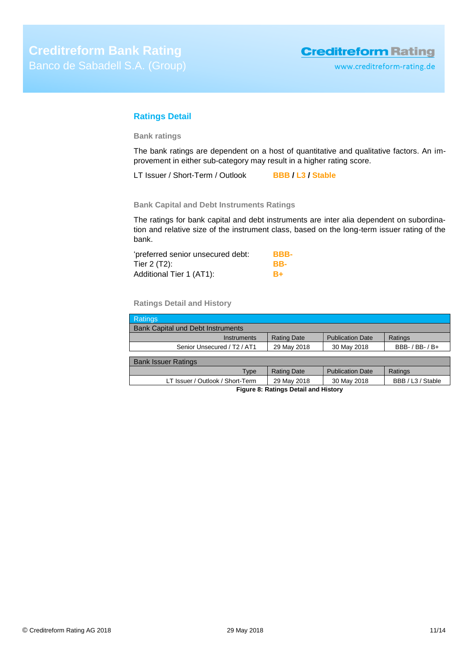### <span id="page-10-0"></span>**Ratings Detail**

**Bank ratings**

The bank ratings are dependent on a host of quantitative and qualitative factors. An improvement in either sub-category may result in a higher rating score.

LT Issuer / Short-Term / Outlook **BBB / L3 / Stable**

**Bank Capital and Debt Instruments Ratings**

The ratings for bank capital and debt instruments are inter alia dependent on subordination and relative size of the instrument class, based on the long-term issuer rating of the bank.

| 'preferred senior unsecured debt: | BBB- |
|-----------------------------------|------|
| Tier 2 (T2):                      | BB-  |
| Additional Tier 1 (AT1):          | $B+$ |

**Ratings Detail and History**

| <b>Ratings</b>                           |                    |                         |                     |  |
|------------------------------------------|--------------------|-------------------------|---------------------|--|
| <b>Bank Capital und Debt Instruments</b> |                    |                         |                     |  |
| Instruments                              | <b>Rating Date</b> | <b>Publication Date</b> | Ratings             |  |
| Senior Unsecured / T2 / AT1              | 29 May 2018        | 30 May 2018             | BBB- $/$ BB- $/$ B+ |  |
|                                          |                    |                         |                     |  |
| <b>Bank Issuer Ratings</b>               |                    |                         |                     |  |
| Type                                     | <b>Rating Date</b> | <b>Publication Date</b> | Ratings             |  |
| LT Issuer / Outlook / Short-Term         | 29 May 2018        | 30 May 2018             | BBB / L3 / Stable   |  |
| Figure 8: Ratings Detail and History     |                    |                         |                     |  |

© Creditreform Rating AG 2018 29 May 2018 11/14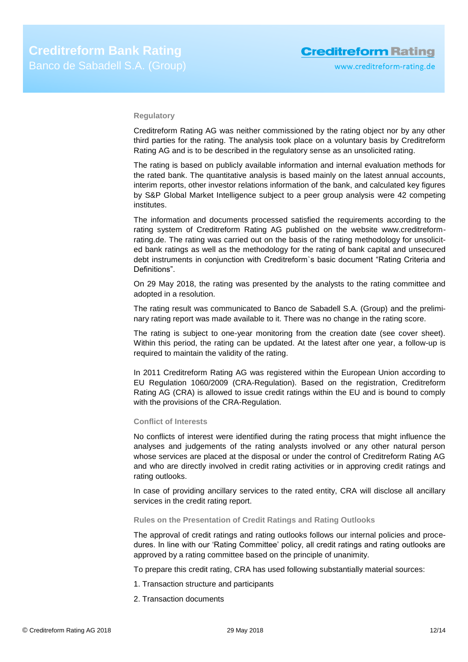#### **Regulatory**

Creditreform Rating AG was neither commissioned by the rating object nor by any other third parties for the rating. The analysis took place on a voluntary basis by Creditreform Rating AG and is to be described in the regulatory sense as an unsolicited rating.

The rating is based on publicly available information and internal evaluation methods for the rated bank. The quantitative analysis is based mainly on the latest annual accounts, interim reports, other investor relations information of the bank, and calculated key figures by S&P Global Market Intelligence subject to a peer group analysis were 42 competing institutes.

The information and documents processed satisfied the requirements according to the rating system of Creditreform Rating AG published on the website www.creditreformrating.de. The rating was carried out on the basis of the rating methodology for unsolicited bank ratings as well as the methodology for the rating of bank capital and unsecured debt instruments in conjunction with Creditreform`s basic document "Rating Criteria and Definitions".

On 29 May 2018, the rating was presented by the analysts to the rating committee and adopted in a resolution.

The rating result was communicated to Banco de Sabadell S.A. (Group) and the preliminary rating report was made available to it. There was no change in the rating score.

The rating is subject to one-year monitoring from the creation date (see cover sheet). Within this period, the rating can be updated. At the latest after one year, a follow-up is required to maintain the validity of the rating.

In 2011 Creditreform Rating AG was registered within the European Union according to EU Regulation 1060/2009 (CRA-Regulation). Based on the registration, Creditreform Rating AG (CRA) is allowed to issue credit ratings within the EU and is bound to comply with the provisions of the CRA-Regulation.

#### **Conflict of Interests**

No conflicts of interest were identified during the rating process that might influence the analyses and judgements of the rating analysts involved or any other natural person whose services are placed at the disposal or under the control of Creditreform Rating AG and who are directly involved in credit rating activities or in approving credit ratings and rating outlooks.

In case of providing ancillary services to the rated entity, CRA will disclose all ancillary services in the credit rating report.

#### **Rules on the Presentation of Credit Ratings and Rating Outlooks**

The approval of credit ratings and rating outlooks follows our internal policies and procedures. In line with our 'Rating Committee' policy, all credit ratings and rating outlooks are approved by a rating committee based on the principle of unanimity.

To prepare this credit rating, CRA has used following substantially material sources:

- 1. Transaction structure and participants
- 2. Transaction documents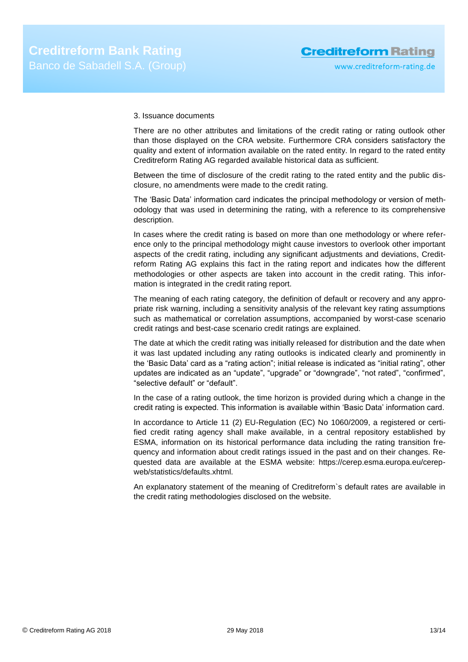#### 3. Issuance documents

There are no other attributes and limitations of the credit rating or rating outlook other than those displayed on the CRA website. Furthermore CRA considers satisfactory the quality and extent of information available on the rated entity. In regard to the rated entity Creditreform Rating AG regarded available historical data as sufficient.

Between the time of disclosure of the credit rating to the rated entity and the public disclosure, no amendments were made to the credit rating.

The 'Basic Data' information card indicates the principal methodology or version of methodology that was used in determining the rating, with a reference to its comprehensive description.

In cases where the credit rating is based on more than one methodology or where reference only to the principal methodology might cause investors to overlook other important aspects of the credit rating, including any significant adjustments and deviations, Creditreform Rating AG explains this fact in the rating report and indicates how the different methodologies or other aspects are taken into account in the credit rating. This information is integrated in the credit rating report.

The meaning of each rating category, the definition of default or recovery and any appropriate risk warning, including a sensitivity analysis of the relevant key rating assumptions such as mathematical or correlation assumptions, accompanied by worst-case scenario credit ratings and best-case scenario credit ratings are explained.

The date at which the credit rating was initially released for distribution and the date when it was last updated including any rating outlooks is indicated clearly and prominently in the 'Basic Data' card as a "rating action"; initial release is indicated as "initial rating", other updates are indicated as an "update", "upgrade" or "downgrade", "not rated", "confirmed", "selective default" or "default".

In the case of a rating outlook, the time horizon is provided during which a change in the credit rating is expected. This information is available within 'Basic Data' information card.

In accordance to Article 11 (2) EU-Regulation (EC) No 1060/2009, a registered or certified credit rating agency shall make available, in a central repository established by ESMA, information on its historical performance data including the rating transition frequency and information about credit ratings issued in the past and on their changes. Requested data are available at the ESMA website: https://cerep.esma.europa.eu/cerepweb/statistics/defaults.xhtml.

An explanatory statement of the meaning of Creditreform`s default rates are available in the credit rating methodologies disclosed on the website.